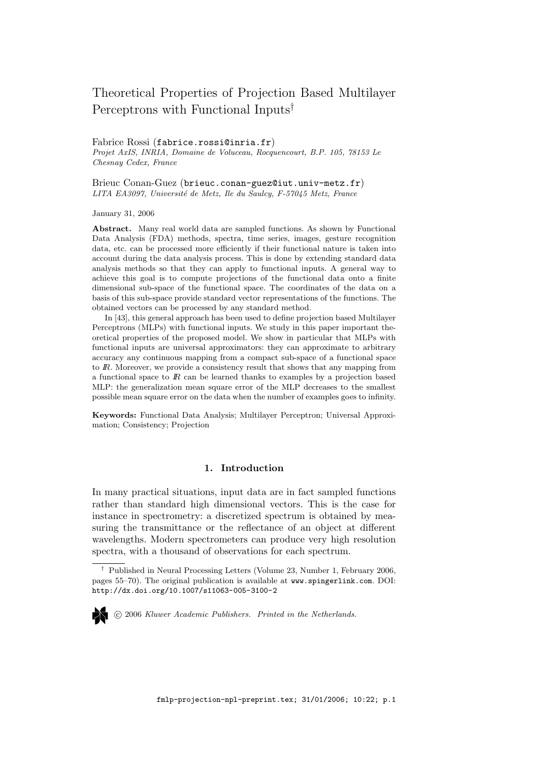# Theoretical Properties of Projection Based Multilayer Perceptrons with Functional Inputs†

#### Fabrice Rossi (fabrice.rossi@inria.fr)

Projet AxIS, INRIA, Domaine de Voluceau, Rocquencourt, B.P. 105, 78153 Le Chesnay Cedex, France

Brieuc Conan-Guez (brieuc.conan-guez@iut.univ-metz.fr) LITA EA3097, Université de Metz, Ile du Saulcy, F-57045 Metz, France

January 31, 2006

Abstract. Many real world data are sampled functions. As shown by Functional Data Analysis (FDA) methods, spectra, time series, images, gesture recognition data, etc. can be processed more efficiently if their functional nature is taken into account during the data analysis process. This is done by extending standard data analysis methods so that they can apply to functional inputs. A general way to achieve this goal is to compute projections of the functional data onto a finite dimensional sub-space of the functional space. The coordinates of the data on a basis of this sub-space provide standard vector representations of the functions. The obtained vectors can be processed by any standard method.

In [43], this general approach has been used to define projection based Multilayer Perceptrons (MLPs) with functional inputs. We study in this paper important theoretical properties of the proposed model. We show in particular that MLPs with functional inputs are universal approximators: they can approximate to arbitrary accuracy any continuous mapping from a compact sub-space of a functional space to IR. Moreover, we provide a consistency result that shows that any mapping from a functional space to  $\mathbb{R}$  can be learned thanks to examples by a projection based MLP: the generalization mean square error of the MLP decreases to the smallest possible mean square error on the data when the number of examples goes to infinity.

Keywords: Functional Data Analysis; Multilayer Perceptron; Universal Approximation; Consistency; Projection

# 1. Introduction

In many practical situations, input data are in fact sampled functions rather than standard high dimensional vectors. This is the case for instance in spectrometry: a discretized spectrum is obtained by measuring the transmittance or the reflectance of an object at different wavelengths. Modern spectrometers can produce very high resolution spectra, with a thousand of observations for each spectrum.

<sup>†</sup> Published in Neural Processing Letters (Volume 23, Number 1, February 2006, pages 55–70). The original publication is available at www.spingerlink.com. DOI: http://dx.doi.org/10.1007/s11063-005-3100-2



c 2006 Kluwer Academic Publishers. Printed in the Netherlands.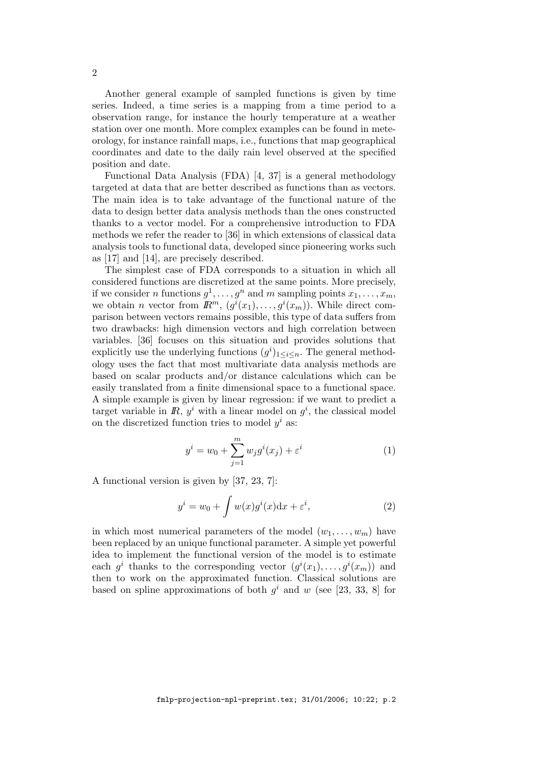Another general example of sampled functions is given by time series. Indeed, a time series is a mapping from a time period to a observation range, for instance the hourly temperature at a weather station over one month. More complex examples can be found in meteorology, for instance rainfall maps, i.e., functions that map geographical coordinates and date to the daily rain level observed at the specified position and date.

Functional Data Analysis (FDA) [4, 37] is a general methodology targeted at data that are better described as functions than as vectors. The main idea is to take advantage of the functional nature of the data to design better data analysis methods than the ones constructed thanks to a vector model. For a comprehensive introduction to FDA methods we refer the reader to [36] in which extensions of classical data analysis tools to functional data, developed since pioneering works such as [17] and [14], are precisely described.

The simplest case of FDA corresponds to a situation in which all considered functions are discretized at the same points. More precisely, if we consider *n* functions  $g^1, \ldots, g^n$  and *m* sampling points  $x_1, \ldots, x_m$ , we obtain *n* vector from  $\mathbb{R}^m$ ,  $(g^i(x_1), \ldots, g^i(x_m))$ . While direct comparison between vectors remains possible, this type of data suffers from two drawbacks: high dimension vectors and high correlation between variables. [36] focuses on this situation and provides solutions that explicitly use the underlying functions  $(g^{i})_{1\leq i\leq n}$ . The general methodology uses the fact that most multivariate data analysis methods are based on scalar products and/or distance calculations which can be easily translated from a finite dimensional space to a functional space. A simple example is given by linear regression: if we want to predict a target variable in  $\mathbb{R}$ ,  $y^i$  with a linear model on  $g^i$ , the classical model on the discretized function tries to model  $y^i$  as:

$$
y^{i} = w_{0} + \sum_{j=1}^{m} w_{j}g^{i}(x_{j}) + \varepsilon^{i}
$$
 (1)

A functional version is given by [37, 23, 7]:

$$
y^{i} = w_0 + \int w(x)g^{i}(x)dx + \varepsilon^{i}, \qquad (2)
$$

in which most numerical parameters of the model  $(w_1, \ldots, w_m)$  have been replaced by an unique functional parameter. A simple yet powerful idea to implement the functional version of the model is to estimate each  $g^i$  thanks to the corresponding vector  $(g^i(x_1), \ldots, g^i(x_m))$  and then to work on the approximated function. Classical solutions are based on spline approximations of both  $g^i$  and w (see [23, 33, 8] for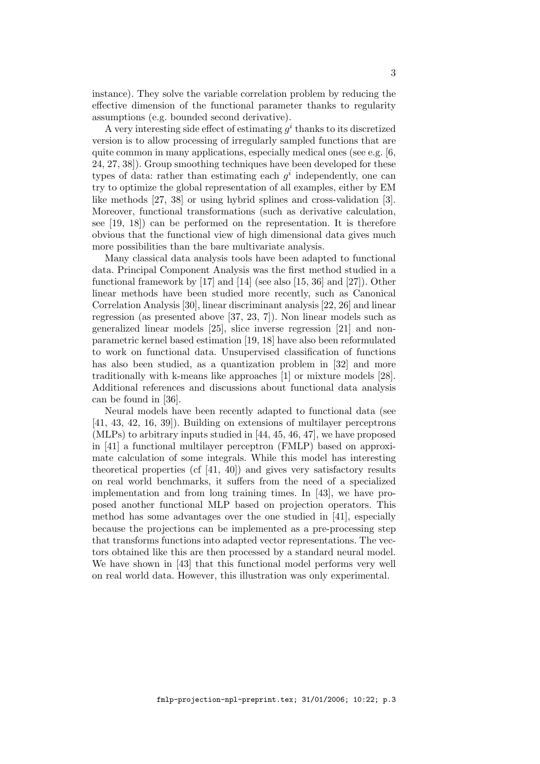instance). They solve the variable correlation problem by reducing the effective dimension of the functional parameter thanks to regularity assumptions (e.g. bounded second derivative).

A very interesting side effect of estimating  $g^i$  thanks to its discretized version is to allow processing of irregularly sampled functions that are quite common in many applications, especially medical ones (see e.g. [6, 24, 27, 38]). Group smoothing techniques have been developed for these types of data: rather than estimating each  $g^i$  independently, one can try to optimize the global representation of all examples, either by EM like methods [27, 38] or using hybrid splines and cross-validation [3]. Moreover, functional transformations (such as derivative calculation, see [19, 18]) can be performed on the representation. It is therefore obvious that the functional view of high dimensional data gives much more possibilities than the bare multivariate analysis.

Many classical data analysis tools have been adapted to functional data. Principal Component Analysis was the first method studied in a functional framework by [17] and [14] (see also [15, 36] and [27]). Other linear methods have been studied more recently, such as Canonical Correlation Analysis [30], linear discriminant analysis [22, 26] and linear regression (as presented above [37, 23, 7]). Non linear models such as generalized linear models [25], slice inverse regression [21] and nonparametric kernel based estimation [19, 18] have also been reformulated to work on functional data. Unsupervised classification of functions has also been studied, as a quantization problem in [32] and more traditionally with k-means like approaches [1] or mixture models [28]. Additional references and discussions about functional data analysis can be found in [36].

Neural models have been recently adapted to functional data (see [41, 43, 42, 16, 39]). Building on extensions of multilayer perceptrons (MLPs) to arbitrary inputs studied in [44, 45, 46, 47], we have proposed in [41] a functional multilayer perceptron (FMLP) based on approximate calculation of some integrals. While this model has interesting theoretical properties (cf [41, 40]) and gives very satisfactory results on real world benchmarks, it suffers from the need of a specialized implementation and from long training times. In [43], we have proposed another functional MLP based on projection operators. This method has some advantages over the one studied in [41], especially because the projections can be implemented as a pre-processing step that transforms functions into adapted vector representations. The vectors obtained like this are then processed by a standard neural model. We have shown in [43] that this functional model performs very well on real world data. However, this illustration was only experimental.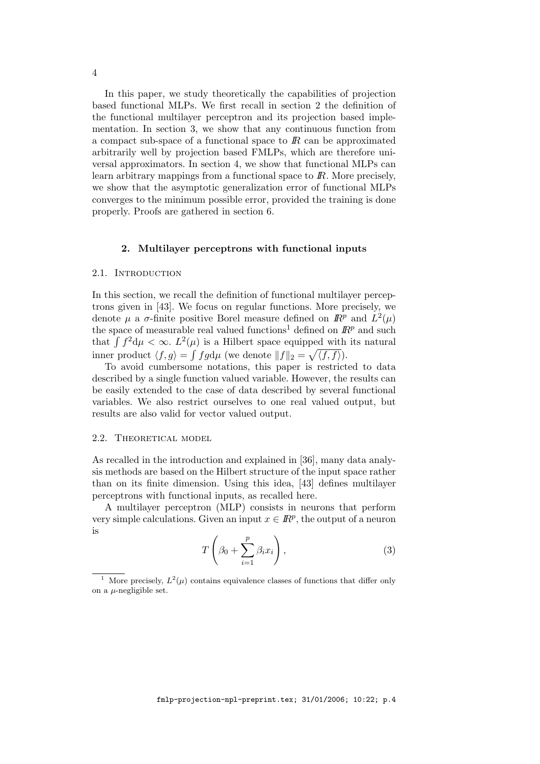In this paper, we study theoretically the capabilities of projection based functional MLPs. We first recall in section 2 the definition of the functional multilayer perceptron and its projection based implementation. In section 3, we show that any continuous function from a compact sub-space of a functional space to  $\mathbb{R}$  can be approximated arbitrarily well by projection based FMLPs, which are therefore universal approximators. In section 4, we show that functional MLPs can learn arbitrary mappings from a functional space to  $\mathbb{R}$ . More precisely, we show that the asymptotic generalization error of functional MLPs converges to the minimum possible error, provided the training is done properly. Proofs are gathered in section 6.

#### 2. Multilayer perceptrons with functional inputs

## 2.1. INTRODUCTION

In this section, we recall the definition of functional multilayer perceptrons given in [43]. We focus on regular functions. More precisely, we denote  $\mu$  a  $\sigma$ -finite positive Borel measure defined on  $\mathbb{R}^p$  and  $L^2(\mu)$ the space of measurable real valued functions<sup>1</sup> defined on  $\mathbb{R}^p$  and such that  $\int f^2 d\mu < \infty$ .  $L^2(\mu)$  is a Hilbert space equipped with its natural inner product  $\langle f, g \rangle = \int f g d\mu$  (we denote  $||f||_2 = \sqrt{\langle f, f \rangle}$ ).

To avoid cumbersome notations, this paper is restricted to data described by a single function valued variable. However, the results can be easily extended to the case of data described by several functional variables. We also restrict ourselves to one real valued output, but results are also valid for vector valued output.

#### 2.2. THEORETICAL MODEL

As recalled in the introduction and explained in [36], many data analysis methods are based on the Hilbert structure of the input space rather than on its finite dimension. Using this idea, [43] defines multilayer perceptrons with functional inputs, as recalled here.

A multilayer perceptron (MLP) consists in neurons that perform very simple calculations. Given an input  $x \in \mathbb{R}^p$ , the output of a neuron is

$$
T\left(\beta_0 + \sum_{i=1}^p \beta_i x_i\right),\tag{3}
$$

<sup>&</sup>lt;sup>1</sup> More precisely,  $L^2(\mu)$  contains equivalence classes of functions that differ only on a  $\mu$ -negligible set.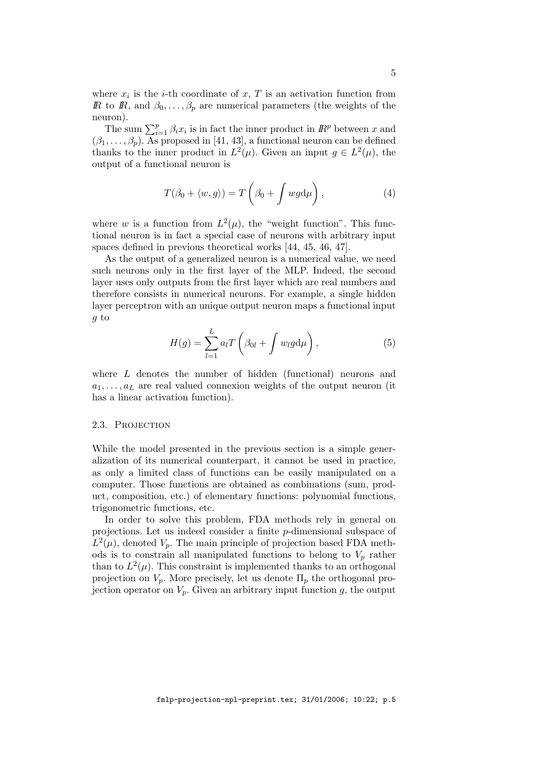where  $x_i$  is the *i*-th coordinate of  $x$ ,  $T$  is an activation function from R to R, and  $\beta_0, \ldots, \beta_p$  are numerical parameters (the weights of the neuron).

The sum  $\sum_{i=1}^{p} \beta_i x_i$  is in fact the inner product in  $\mathbb{R}^p$  between x and  $(\beta_1, \ldots, \beta_p)$ . As proposed in [41, 43], a functional neuron can be defined thanks to the inner product in  $L^2(\mu)$ . Given an input  $g \in L^2(\mu)$ , the output of a functional neuron is

$$
T(\beta_0 + \langle w, g \rangle) = T\left(\beta_0 + \int wgd\mu\right),\tag{4}
$$

where w is a function from  $L^2(\mu)$ , the "weight function". This functional neuron is in fact a special case of neurons with arbitrary input spaces defined in previous theoretical works [44, 45, 46, 47].

As the output of a generalized neuron is a numerical value, we need such neurons only in the first layer of the MLP. Indeed, the second layer uses only outputs from the first layer which are real numbers and therefore consists in numerical neurons. For example, a single hidden layer perceptron with an unique output neuron maps a functional input g to

$$
H(g) = \sum_{l=1}^{L} a_l T\left(\beta_{0l} + \int w_l g \mathrm{d}\mu\right),\tag{5}
$$

where  $L$  denotes the number of hidden (functional) neurons and  $a_1, \ldots, a_L$  are real valued connexion weights of the output neuron (it has a linear activation function).

# 2.3. PROJECTION

While the model presented in the previous section is a simple generalization of its numerical counterpart, it cannot be used in practice, as only a limited class of functions can be easily manipulated on a computer. Those functions are obtained as combinations (sum, product, composition, etc.) of elementary functions: polynomial functions, trigonometric functions, etc.

In order to solve this problem, FDA methods rely in general on projections. Let us indeed consider a finite p-dimensional subspace of  $L^2(\mu)$ , denoted  $V_p$ . The main principle of projection based FDA methods is to constrain all manipulated functions to belong to  $V_p$  rather than to  $L^2(\mu)$ . This constraint is implemented thanks to an orthogonal projection on  $V_p$ . More precisely, let us denote  $\Pi_p$  the orthogonal projection operator on  $V_p$ . Given an arbitrary input function g, the output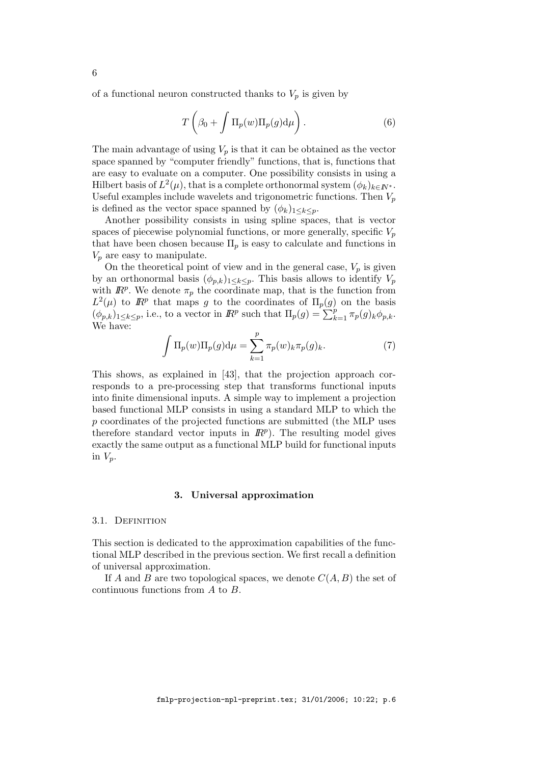of a functional neuron constructed thanks to  $V_p$  is given by

$$
T\left(\beta_0 + \int \Pi_p(w) \Pi_p(g) d\mu\right).
$$
 (6)

The main advantage of using  $V_p$  is that it can be obtained as the vector space spanned by "computer friendly" functions, that is, functions that are easy to evaluate on a computer. One possibility consists in using a Hilbert basis of  $L^2(\mu)$ , that is a complete orthonormal system  $(\phi_k)_{k \in I\!\!N^*}$ . Useful examples include wavelets and trigonometric functions. Then  $V_p$ is defined as the vector space spanned by  $(\phi_k)_{1 \leq k \leq n}$ .

Another possibility consists in using spline spaces, that is vector spaces of piecewise polynomial functions, or more generally, specific  $V_p$ that have been chosen because  $\Pi_p$  is easy to calculate and functions in  $V_p$  are easy to manipulate.

On the theoretical point of view and in the general case,  $V_p$  is given by an orthonormal basis  $(\phi_{p,k})_{1\leq k\leq p}$ . This basis allows to identify  $V_p$ with  $\mathbb{R}^p$ . We denote  $\pi_p$  the coordinate map, that is the function from  $L^2(\mu)$  to  $\mathbb{R}^p$  that maps g to the coordinates of  $\Pi_p(g)$  on the basis  $(\phi_{p,k})_{1\leq k\leq p}$ , i.e., to a vector in  $\mathbb{R}^p$  such that  $\Pi_p(g) = \sum_{k=1}^{\infty} \pi_p(g)_k \phi_{p,k}$ . We have:

$$
\int \Pi_p(w)\Pi_p(g)\mathrm{d}\mu = \sum_{k=1}^p \pi_p(w)_k \pi_p(g)_k.
$$
 (7)

This shows, as explained in [43], that the projection approach corresponds to a pre-processing step that transforms functional inputs into finite dimensional inputs. A simple way to implement a projection based functional MLP consists in using a standard MLP to which the p coordinates of the projected functions are submitted (the MLP uses therefore standard vector inputs in  $\mathbb{R}^p$ ). The resulting model gives exactly the same output as a functional MLP build for functional inputs in  $V_p$ .

# 3. Universal approximation

### 3.1. DEFINITION

This section is dedicated to the approximation capabilities of the functional MLP described in the previous section. We first recall a definition of universal approximation.

If A and B are two topological spaces, we denote  $C(A, B)$  the set of continuous functions from A to B.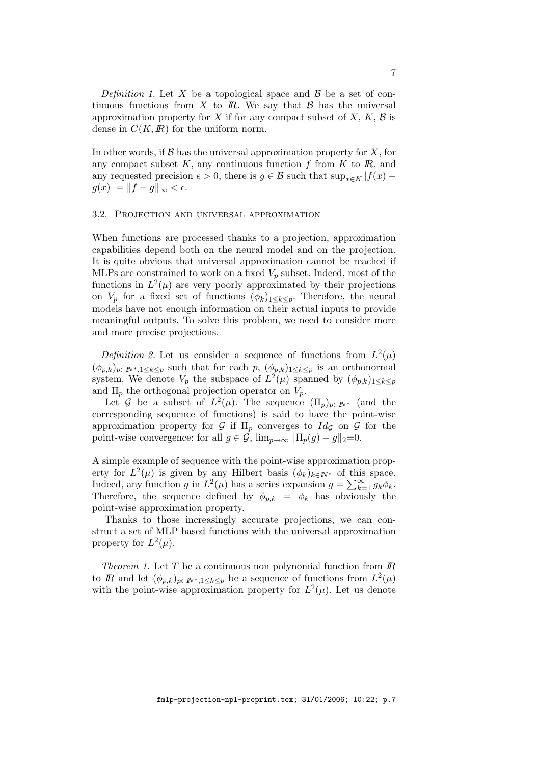Definition 1. Let X be a topological space and  $\beta$  be a set of continuous functions from X to  $\mathbb{R}$ . We say that  $\beta$  has the universal approximation property for X if for any compact subset of X,  $K$ ,  $\beta$  is dense in  $C(K, \mathbb{R})$  for the uniform norm.

In other words, if  $\mathcal B$  has the universal approximation property for  $X$ , for any compact subset  $K$ , any continuous function  $f$  from  $K$  to  $\mathbb{R}$ , and any requested precision  $\epsilon > 0$ , there is  $g \in \mathcal{B}$  such that sup<sub>x∈K</sub> |f(x) –  $g(x)| = ||f - g||_{\infty} < \epsilon.$ 

# 3.2. Projection and universal approximation

When functions are processed thanks to a projection, approximation capabilities depend both on the neural model and on the projection. It is quite obvious that universal approximation cannot be reached if MLPs are constrained to work on a fixed  $V_p$  subset. Indeed, most of the functions in  $L^2(\mu)$  are very poorly approximated by their projections on  $V_p$  for a fixed set of functions  $(\phi_k)_{1\leq k\leq p}$ . Therefore, the neural models have not enough information on their actual inputs to provide meaningful outputs. To solve this problem, we need to consider more and more precise projections.

Definition 2. Let us consider a sequence of functions from  $L^2(\mu)$  $(\phi_{p,k})_{p\in\mathbb{N}^*,1\leq k\leq p}$  such that for each  $p$ ,  $(\phi_{p,k})_{1\leq k\leq p}$  is an orthonormal system. We denote  $V_p$  the subspace of  $L^2(\mu)$  spanned by  $(\phi_{p,k})_{1\leq k\leq p}$ and  $\Pi_p$  the orthogonal projection operator on  $V_p$ .

Let G be a subset of  $L^2(\mu)$ . The sequence  $(\Pi_p)_{p \in \mathbb{N}^*}$  (and the corresponding sequence of functions) is said to have the point-wise approximation property for G if  $\Pi_p$  converges to  $Id_{\mathcal{G}}$  on G for the point-wise convergence: for all  $g \in \mathcal{G}$ ,  $\lim_{p\to\infty} ||\Pi_p(g) - g||_2=0$ .

A simple example of sequence with the point-wise approximation property for  $L^2(\mu)$  is given by any Hilbert basis  $(\phi_k)_{k \in \mathbb{N}^*}$  of this space. Indeed, any function g in  $L^2(\mu)$  has a series expansion  $g = \sum_{k=1}^{\infty} g_k \phi_k$ . Therefore, the sequence defined by  $\phi_{p,k} = \phi_k$  has obviously the point-wise approximation property.

Thanks to those increasingly accurate projections, we can construct a set of MLP based functions with the universal approximation property for  $L^2(\mu)$ .

Theorem 1. Let  $T$  be a continuous non polynomial function from  $\mathbb{R}$ to R and let  $(\phi_{p,k})_{p \in \mathbb{N}^*, 1 \leq k \leq p}$  be a sequence of functions from  $L^2(\mu)$ with the point-wise approximation property for  $L^2(\mu)$ . Let us denote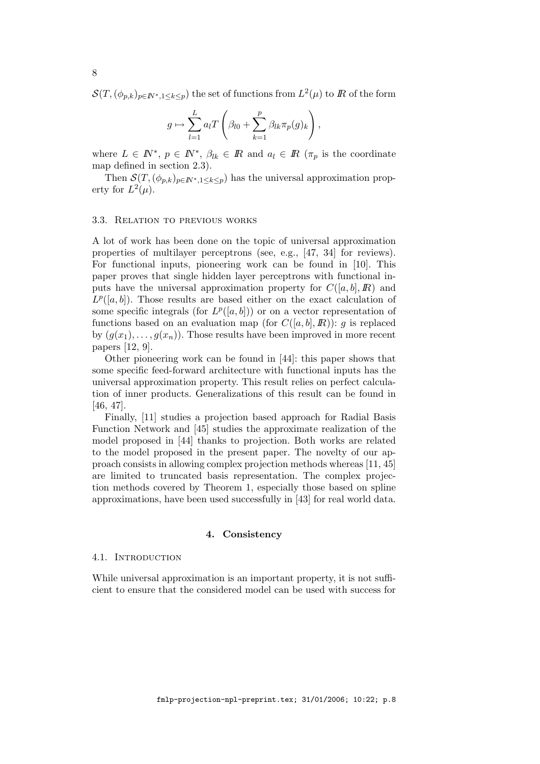$\mathcal{S}(T, (\phi_{p,k})_{p \in I\!\!N^*, 1 \leq k \leq p})$  the set of functions from  $L^2(\mu)$  to  $I\!\!R$  of the form

$$
g \mapsto \sum_{l=1}^{L} a_l T\left(\beta_{l0} + \sum_{k=1}^{p} \beta_{lk} \pi_p(g)_k\right),
$$

where  $L \in \mathbb{N}^*, p \in \mathbb{N}^*, \beta_{lk} \in \mathbb{R}$  and  $a_l \in \mathbb{R}$  ( $\pi_p$  is the coordinate map defined in section 2.3).

Then  $\mathcal{S}(T,(\phi_{p,k})_{p\in\mathbb{N}^*,1\leq k\leq p})$  has the universal approximation property for  $L^2(\mu)$ .

#### 3.3. Relation to previous works

A lot of work has been done on the topic of universal approximation properties of multilayer perceptrons (see, e.g., [47, 34] for reviews). For functional inputs, pioneering work can be found in [10]. This paper proves that single hidden layer perceptrons with functional inputs have the universal approximation property for  $C([a, b], I\!\!R)$  and  $L^p([a, b])$ . Those results are based either on the exact calculation of some specific integrals (for  $L^p([a, b])$ ) or on a vector representation of functions based on an evaluation map (for  $C([a, b], I\!\!R)$ ): q is replaced by  $(g(x_1), \ldots, g(x_n))$ . Those results have been improved in more recent papers [12, 9].

Other pioneering work can be found in [44]: this paper shows that some specific feed-forward architecture with functional inputs has the universal approximation property. This result relies on perfect calculation of inner products. Generalizations of this result can be found in [46, 47].

Finally, [11] studies a projection based approach for Radial Basis Function Network and [45] studies the approximate realization of the model proposed in [44] thanks to projection. Both works are related to the model proposed in the present paper. The novelty of our approach consists in allowing complex projection methods whereas [11, 45] are limited to truncated basis representation. The complex projection methods covered by Theorem 1, especially those based on spline approximations, have been used successfully in [43] for real world data.

#### 4. Consistency

#### 4.1. INTRODUCTION

While universal approximation is an important property, it is not sufficient to ensure that the considered model can be used with success for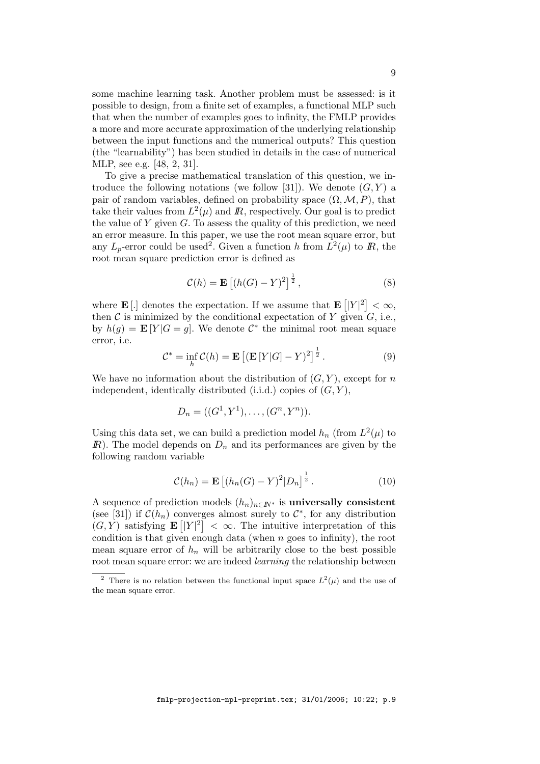some machine learning task. Another problem must be assessed: is it possible to design, from a finite set of examples, a functional MLP such that when the number of examples goes to infinity, the FMLP provides a more and more accurate approximation of the underlying relationship between the input functions and the numerical outputs? This question (the "learnability") has been studied in details in the case of numerical MLP, see e.g. [48, 2, 31].

To give a precise mathematical translation of this question, we introduce the following notations (we follow [31]). We denote  $(G, Y)$  a pair of random variables, defined on probability space  $(\Omega, \mathcal{M}, P)$ , that take their values from  $L^2(\mu)$  and  $\bar{R}$ , respectively. Our goal is to predict the value of  $Y$  given  $G$ . To assess the quality of this prediction, we need an error measure. In this paper, we use the root mean square error, but any  $L_p$ -error could be used<sup>2</sup>. Given a function h from  $L^2(\mu)$  to  $\mathbb{R}$ , the root mean square prediction error is defined as

$$
\mathcal{C}(h) = \mathbf{E}\left[ (h(G) - Y)^2 \right]^{\frac{1}{2}},\tag{8}
$$

where **E**[.] denotes the expectation. If we assume that  $\mathbf{E} \left[ |Y|^2 \right] < \infty$ , then  $\mathcal C$  is minimized by the conditional expectation of Y given  $G$ , i.e., by  $h(g) = \mathbf{E}[Y|G = g]$ . We denote  $\mathcal{C}^*$  the minimal root mean square error, i.e.

$$
\mathcal{C}^* = \inf_h \mathcal{C}(h) = \mathbf{E} \left[ (\mathbf{E} \left[ Y | G] - Y \right)^2 \right]^{\frac{1}{2}}.
$$
 (9)

We have no information about the distribution of  $(G, Y)$ , except for n independent, identically distributed (i.i.d.) copies of  $(G, Y)$ ,

$$
D_n = ((G^1, Y^1), \dots, (G^n, Y^n)).
$$

Using this data set, we can build a prediction model  $h_n$  (from  $L^2(\mu)$  to  $\mathbb{R}$ ). The model depends on  $D_n$  and its performances are given by the following random variable

$$
\mathcal{C}(h_n) = \mathbf{E}\left[ (h_n(G) - Y)^2 |D_n|^{\frac{1}{2}} \right]. \tag{10}
$$

A sequence of prediction models  $(h_n)_{n \in \mathbb{N}^*}$  is universally consistent (see [31]) if  $\mathcal{C}(h_n)$  converges almost surely to  $\mathcal{C}^*$ , for any distribution  $(G, Y)$  satisfying  $\mathbf{E} [|Y|^2] < \infty$ . The intuitive interpretation of this condition is that given enough data (when  $n$  goes to infinity), the root mean square error of  $h_n$  will be arbitrarily close to the best possible root mean square error: we are indeed learning the relationship between

<sup>&</sup>lt;sup>2</sup> There is no relation between the functional input space  $L^2(\mu)$  and the use of the mean square error.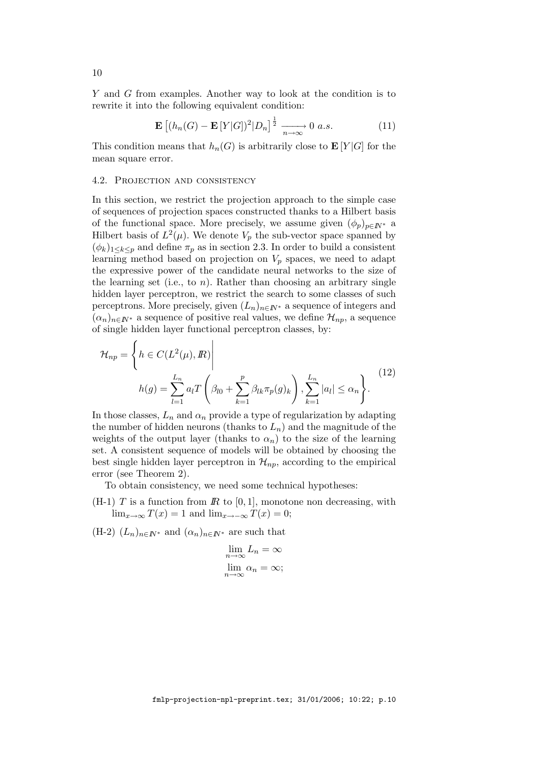Y and G from examples. Another way to look at the condition is to rewrite it into the following equivalent condition:

$$
\mathbf{E}\left[ (h_n(G) - \mathbf{E}[Y|G])^2 | D_n \right]^{\frac{1}{2}} \xrightarrow[n \to \infty]{} 0 \ a.s.
$$
 (11)

This condition means that  $h_n(G)$  is arbitrarily close to  $\mathbf{E}[Y|G]$  for the mean square error.

### 4.2. Projection and consistency

In this section, we restrict the projection approach to the simple case of sequences of projection spaces constructed thanks to a Hilbert basis of the functional space. More precisely, we assume given  $(\phi_p)_{p \in \mathbb{N}^*}$  a Hilbert basis of  $L^2(\mu)$ . We denote  $V_p$  the sub-vector space spanned by  $(\phi_k)_{1\leq k\leq p}$  and define  $\pi_p$  as in section 2.3. In order to build a consistent learning method based on projection on  $V_p$  spaces, we need to adapt the expressive power of the candidate neural networks to the size of the learning set (i.e., to  $n$ ). Rather than choosing an arbitrary single hidden layer perceptron, we restrict the search to some classes of such perceptrons. More precisely, given  $(L_n)_{n\in\mathbb{N}^*}$  a sequence of integers and  $(\alpha_n)_{n\in\mathbb{N}^*}$  a sequence of positive real values, we define  $\mathcal{H}_{np}$ , a sequence of single hidden layer functional perceptron classes, by:

$$
\mathcal{H}_{np} = \left\{ h \in C(L^2(\mu), \mathbb{R}) \Big|
$$
  

$$
h(g) = \sum_{l=1}^{L_n} a_l T\left(\beta_{l0} + \sum_{k=1}^p \beta_{lk} \pi_p(g)_k\right), \sum_{k=1}^{L_n} |a_l| \le \alpha_n \right\}.
$$
  

$$
(12)
$$

In those classes,  $L_n$  and  $\alpha_n$  provide a type of regularization by adapting the number of hidden neurons (thanks to  $L_n$ ) and the magnitude of the weights of the output layer (thanks to  $\alpha_n$ ) to the size of the learning set. A consistent sequence of models will be obtained by choosing the best single hidden layer perceptron in  $\mathcal{H}_{nn}$ , according to the empirical error (see Theorem 2).

To obtain consistency, we need some technical hypotheses:

 $(H-1)$  T is a function from  $\mathbb R$  to [0, 1], monotone non decreasing, with  $\lim_{x\to\infty} T(x) = 1$  and  $\lim_{x\to\infty} T(x) = 0$ ;

(H-2)  $(L_n)_{n \in \mathbb{N}^*}$  and  $(\alpha_n)_{n \in \mathbb{N}^*}$  are such that

$$
\lim_{n \to \infty} L_n = \infty
$$
  

$$
\lim_{n \to \infty} \alpha_n = \infty;
$$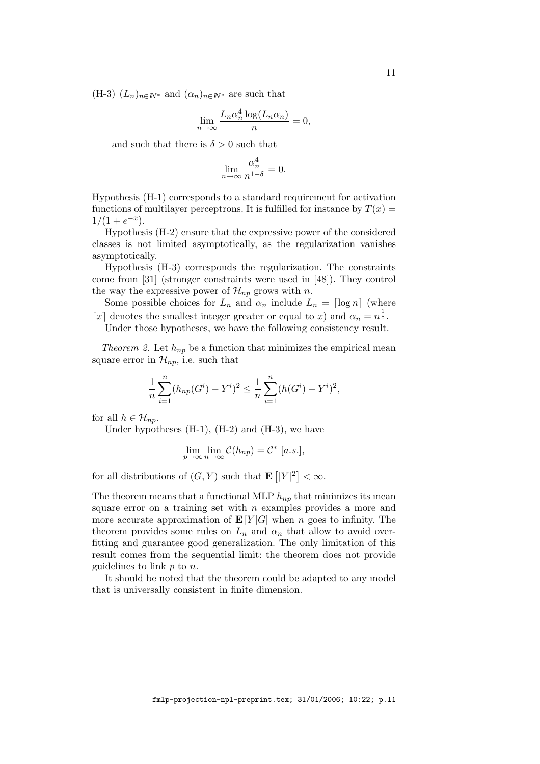(H-3)  $(L_n)_{n \in \mathbb{N}^*}$  and  $(\alpha_n)_{n \in \mathbb{N}^*}$  are such that

$$
\lim_{n \to \infty} \frac{L_n \alpha_n^4 \log(L_n \alpha_n)}{n} = 0,
$$

and such that there is  $\delta > 0$  such that

$$
\lim_{n \to \infty} \frac{\alpha_n^4}{n^{1-\delta}} = 0.
$$

Hypothesis (H-1) corresponds to a standard requirement for activation functions of multilayer perceptrons. It is fulfilled for instance by  $T(x) =$  $1/(1+e^{-x}).$ 

Hypothesis (H-2) ensure that the expressive power of the considered classes is not limited asymptotically, as the regularization vanishes asymptotically.

Hypothesis (H-3) corresponds the regularization. The constraints come from [31] (stronger constraints were used in [48]). They control the way the expressive power of  $\mathcal{H}_{np}$  grows with n.

Some possible choices for  $L_n$  and  $\alpha_n$  include  $L_n = \lceil \log n \rceil$  (where [x] denotes the smallest integer greater or equal to x) and  $\alpha_n = n^{\frac{1}{8}}$ .

Under those hypotheses, we have the following consistency result.

Theorem 2. Let  $h_{np}$  be a function that minimizes the empirical mean square error in  $\mathcal{H}_{np}$ , i.e. such that

$$
\frac{1}{n}\sum_{i=1}^{n}(h_{np}(G^i) - Y^i)^2 \le \frac{1}{n}\sum_{i=1}^{n}(h(G^i) - Y^i)^2,
$$

for all  $h \in \mathcal{H}_{np}$ .

Under hypotheses (H-1), (H-2) and (H-3), we have

$$
\lim_{p \to \infty} \lim_{n \to \infty} C(h_{np}) = C^* [a.s.],
$$

for all distributions of  $(G, Y)$  such that  $\mathbf{E} [Y]^2 < \infty$ .

The theorem means that a functional MLP  $h_{np}$  that minimizes its mean square error on a training set with  $n$  examples provides a more and more accurate approximation of  $\mathbf{E}[Y|G]$  when n goes to infinity. The theorem provides some rules on  $L_n$  and  $\alpha_n$  that allow to avoid overfitting and guarantee good generalization. The only limitation of this result comes from the sequential limit: the theorem does not provide guidelines to link  $p$  to  $n$ .

It should be noted that the theorem could be adapted to any model that is universally consistent in finite dimension.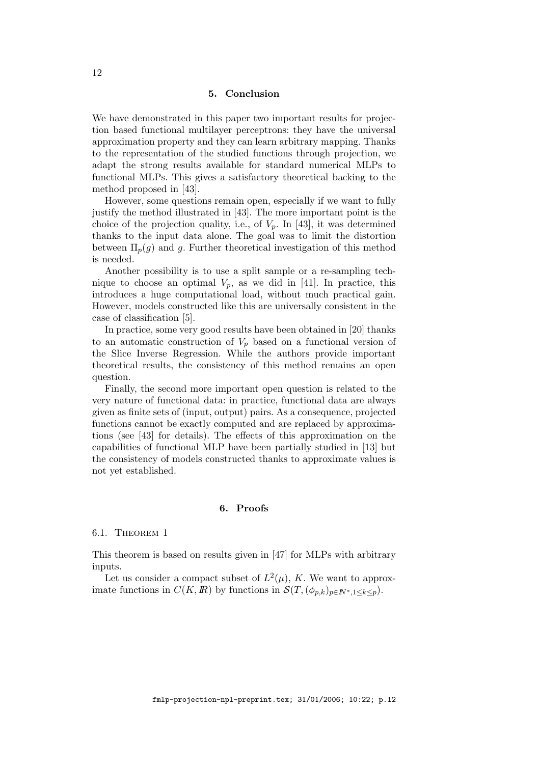# 5. Conclusion

We have demonstrated in this paper two important results for projection based functional multilayer perceptrons: they have the universal approximation property and they can learn arbitrary mapping. Thanks to the representation of the studied functions through projection, we adapt the strong results available for standard numerical MLPs to functional MLPs. This gives a satisfactory theoretical backing to the method proposed in [43].

However, some questions remain open, especially if we want to fully justify the method illustrated in [43]. The more important point is the choice of the projection quality, i.e., of  $V_p$ . In [43], it was determined thanks to the input data alone. The goal was to limit the distortion between  $\Pi_p(g)$  and g. Further theoretical investigation of this method is needed.

Another possibility is to use a split sample or a re-sampling technique to choose an optimal  $V_p$ , as we did in [41]. In practice, this introduces a huge computational load, without much practical gain. However, models constructed like this are universally consistent in the case of classification [5].

In practice, some very good results have been obtained in [20] thanks to an automatic construction of  $V_p$  based on a functional version of the Slice Inverse Regression. While the authors provide important theoretical results, the consistency of this method remains an open question.

Finally, the second more important open question is related to the very nature of functional data: in practice, functional data are always given as finite sets of (input, output) pairs. As a consequence, projected functions cannot be exactly computed and are replaced by approximations (see [43] for details). The effects of this approximation on the capabilities of functional MLP have been partially studied in [13] but the consistency of models constructed thanks to approximate values is not yet established.

### 6. Proofs

## 6.1. Theorem 1

This theorem is based on results given in [47] for MLPs with arbitrary inputs.

Let us consider a compact subset of  $L^2(\mu)$ , K. We want to approximate functions in  $C(K, \mathbb{R})$  by functions in  $\mathcal{S}(T, (\phi_{p,k})_{p \in \mathbb{N}^*, 1 \leq k \leq p})$ .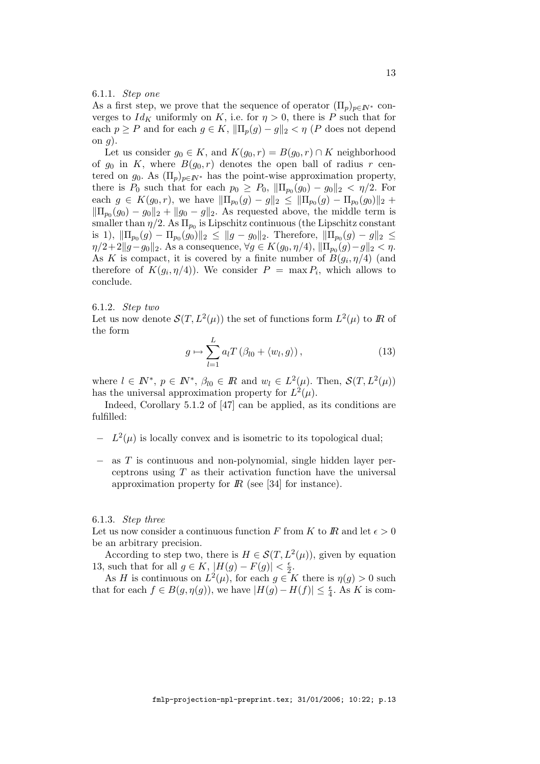# 6.1.1. Step one

As a first step, we prove that the sequence of operator  $(\Pi_p)_{p \in \mathbb{N}^*}$  converges to  $Id_K$  uniformly on K, i.e. for  $\eta > 0$ , there is P such that for each  $p \ge P$  and for each  $g \in K$ ,  $\|\Pi_p(g) - g\|_2 < \eta$  (P does not depend on  $g$ ).

Let us consider  $g_0 \in K$ , and  $K(g_0, r) = B(g_0, r) \cap K$  neighborhood of  $g_0$  in K, where  $B(g_0, r)$  denotes the open ball of radius r centered on  $g_0$ . As  $(\Pi_p)_{p \in \mathbb{N}^*}$  has the point-wise approximation property, there is  $P_0$  such that for each  $p_0 \ge P_0$ ,  $\|\Pi_{p_0}(g_0) - g_0\|_2 < \eta/2$ . For each  $g \in K(g_0, r)$ , we have  $\|\Pi_{p_0}(g) - g\|_2 \le \|\Pi_{p_0}(g) - \Pi_{p_0}(g_0)\|_2 +$  $\|\Pi_{p_0}(g_0) - g_0\|_2 + \|g_0 - g\|_2$ . As requested above, the middle term is smaller than  $\eta/2$ . As  $\Pi_{p_0}$  is Lipschitz continuous (the Lipschitz constant is 1),  $\|\Pi_{p_0}(g) - \Pi_{p_0}(g_0)\|_2 \leq \|g - g_0\|_2$ . Therefore,  $\|\Pi_{p_0}(g) - g\|_2 \leq$  $\eta/2+2\|g-g_0\|_2.$  As a consequence,  $\forall g\in K(g_0,\eta/4),$   $\|\Pi_{p_0}(g)-g\|_2<\eta.$ As K is compact, it is covered by a finite number of  $B(g_i, \eta/4)$  (and therefore of  $K(g_i, \eta/4)$ . We consider  $P = \max P_i$ , which allows to conclude.

6.1.2. Step two

Let us now denote  $\mathcal{S}(T, L^2(\mu))$  the set of functions form  $L^2(\mu)$  to  $\mathbb R$  of the form

$$
g \mapsto \sum_{l=1}^{L} a_l T \left( \beta_{l0} + \langle w_l, g \rangle \right), \tag{13}
$$

where  $l \in \mathbb{N}^*, p \in \mathbb{N}^*, \beta_{l0} \in \mathbb{R}$  and  $w_l \in L^2(\mu)$ . Then,  $\mathcal{S}(T, L^2(\mu))$ has the universal approximation property for  $L^2(\mu)$ .

Indeed, Corollary 5.1.2 of [47] can be applied, as its conditions are fulfilled:

- $L^2(\mu)$  is locally convex and is isometric to its topological dual;
- − as T is continuous and non-polynomial, single hidden layer perceptrons using  $T$  as their activation function have the universal approximation property for  $\mathbb{R}$  (see [34] for instance).

#### 6.1.3. Step three

Let us now consider a continuous function F from K to R and let  $\epsilon > 0$ be an arbitrary precision.

According to step two, there is  $H \in \mathcal{S}(T, L^2(\mu))$ , given by equation 13, such that for all  $g \in K$ ,  $|H(g) - F(g)| < \frac{\epsilon}{2}$  $rac{\epsilon}{2}$ .

As H is continuous on  $L^2(\mu)$ , for each  $g \in K$  there is  $\eta(g) > 0$  such that for each  $f \in B(g, \eta(g))$ , we have  $|H(g) - H(f)| \leq \frac{\epsilon}{4}$ . As K is com-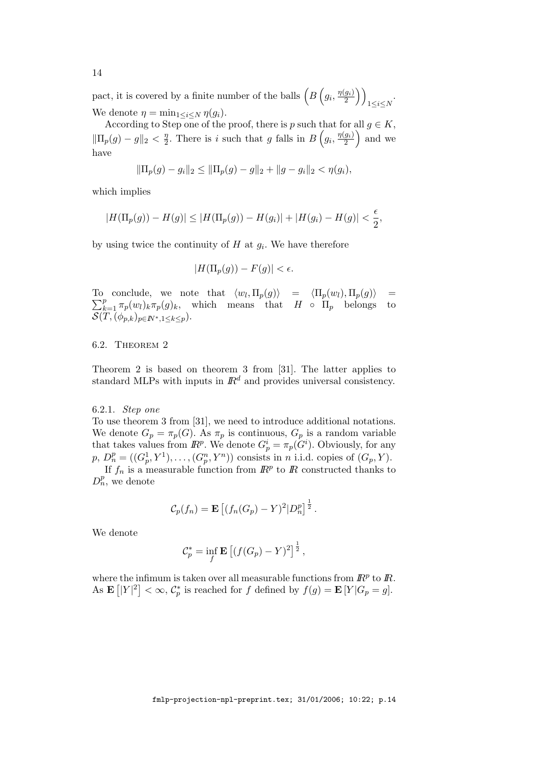pact, it is covered by a finite number of the balls  $\left(B\left(g_i,\frac{\eta(g_i)}{2}\right)\right)$  $\left(\frac{g_i}{2}\right)\bigg)$  $1\leq i\leq N$ . We denote  $\eta = \min_{1 \leq i \leq N} \eta(g_i)$ .

According to Step one of the proof, there is p such that for all  $q \in K$ ,  $\|\Pi_p(g) - g\|_2 < \frac{\eta}{2}$  $\frac{\eta}{2}$ . There is i such that g falls in  $B(g_i, \frac{\eta(g_i)}{2})$  $\left(\frac{g_i}{2}\right)$  and we have

$$
\|\Pi_p(g)-g_i\|_2\leq \|\Pi_p(g)-g\|_2+\|g-g_i\|_2<\eta(g_i),
$$

which implies

$$
|H(\Pi_p(g)) - H(g)| \le |H(\Pi_p(g)) - H(g_i)| + |H(g_i) - H(g)| < \frac{\epsilon}{2},
$$

by using twice the continuity of  $H$  at  $g_i$ . We have therefore

$$
|H(\Pi_p(g)) - F(g)| < \epsilon.
$$

To conclude, we note that  $\langle w_l, \Pi_p(g) \rangle = \langle \Pi_p(w_l), \Pi_p(g) \rangle$ To conclude, we note that  $\langle w_l, \Pi_p(g) \rangle = \langle \Pi_p(w_l), \Pi_p(g) \rangle = \sum_{k=1}^p \pi_p(w_l)_k \pi_p(g)_k$ , which means that  $H \circ \Pi_p$  belongs to  $\mathcal{S}(T,(\phi_{p,k})_{p\in I\!\!N^*, 1\leq k\leq p}).$ 

# 6.2. Theorem 2

Theorem 2 is based on theorem 3 from [31]. The latter applies to standard MLPs with inputs in  $\mathbb{R}^d$  and provides universal consistency.

## 6.2.1. Step one

To use theorem 3 from [31], we need to introduce additional notations. We denote  $G_p = \pi_p(G)$ . As  $\pi_p$  is continuous,  $G_p$  is a random variable that takes values from  $\mathbb{R}^p$ . We denote  $G_p^i = \pi_p(G^i)$ . Obviously, for any  $p, D_n^p = ((G_p^1, Y^1), \ldots, (G_p^n, Y^n))$  consists in *n* i.i.d. copies of  $(G_p, Y)$ .

If  $f_n$  is a measurable function from  $\mathbb{R}^p$  to  $\mathbb{R}$  constructed thanks to  $D_n^p$ , we denote

$$
\mathcal{C}_p(f_n) = \mathbf{E}\left[ (f_n(G_p) - Y)^2 | D_n^p \right]^{\frac{1}{2}}.
$$

We denote

$$
\mathcal{C}_p^* = \inf_f \mathbf{E} \left[ (f(G_p) - Y)^2 \right]^{\frac{1}{2}},
$$

where the infimum is taken over all measurable functions from  $\mathbb{R}^p$  to  $\mathbb{R}$ . As  $\mathbf{E} [|Y|^2] < \infty$ ,  $C_p^*$  is reached for f defined by  $f(g) = \mathbf{E} [Y|G_p = g]$ .

fmlp-projection-npl-preprint.tex; 31/01/2006; 10:22; p.14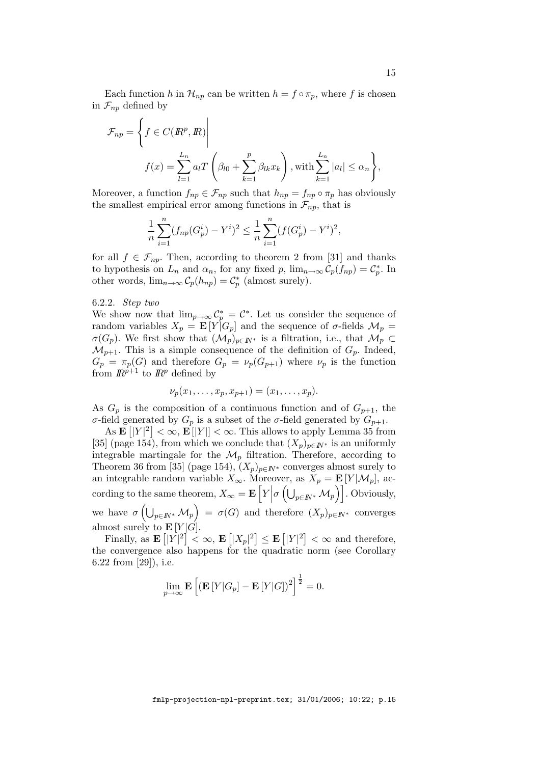Each function h in  $\mathcal{H}_{np}$  can be written  $h = f \circ \pi_p$ , where f is chosen in  $\mathcal{F}_{nn}$  defined by

$$
\mathcal{F}_{np} = \left\{ f \in C(\mathbb{R}^p, \mathbb{R}) \middle| \right\}
$$
\n
$$
f(x) = \sum_{l=1}^{L_n} a_l T \left( \beta_{l0} + \sum_{k=1}^p \beta_{lk} x_k \right), \text{with } \sum_{k=1}^{L_n} |a_l| \le \alpha_n \right\},
$$

Moreover, a function  $f_{np} \in \mathcal{F}_{np}$  such that  $h_{np} = f_{np} \circ \pi_p$  has obviously the smallest empirical error among functions in  $\mathcal{F}_{np}$ , that is

$$
\frac{1}{n}\sum_{i=1}^{n}(f_{np}(G_p^i) - Y^i)^2 \le \frac{1}{n}\sum_{i=1}^{n}(f(G_p^i) - Y^i)^2,
$$

for all  $f \in \mathcal{F}_{np}$ . Then, according to theorem 2 from [31] and thanks to hypothesis on  $L_n$  and  $\alpha_n$ , for any fixed p,  $\lim_{n\to\infty} C_p(f_{np}) = C_p^*$ . In other words,  $\lim_{n\to\infty} C_p(h_{np}) = C_p^*$  (almost surely).

# 6.2.2. Step two

We show now that  $\lim_{p\to\infty} C_p^* = C^*$ . Let us consider the sequence of random variables  $X_p = \mathbf{E}[Y|G_p]$  and the sequence of  $\sigma$ -fields  $\mathcal{M}_p =$  $\sigma(G_p)$ . We first show that  $(\mathcal{M}_p)_{p\in\mathbb{N}^*}$  is a filtration, i.e., that  $\mathcal{M}_p \subset$  $\mathcal{M}_{p+1}$ . This is a simple consequence of the definition of  $G_p$ . Indeed,  $G_p = \pi_p(G)$  and therefore  $G_p = \nu_p(G_{p+1})$  where  $\nu_p$  is the function from  $\mathbb{R}^{p+1}$  to  $\mathbb{R}^p$  defined by

$$
\nu_p(x_1,\ldots,x_p,x_{p+1})=(x_1,\ldots,x_p).
$$

As  $G_p$  is the composition of a continuous function and of  $G_{p+1}$ , the σ-field generated by  $G_p$  is a subset of the σ-field generated by  $G_{p+1}$ .

As  $\mathbf{E} \left[ |Y|^2 \right] < \infty$ ,  $\mathbf{E} \left[ |Y| \right] < \infty$ . This allows to apply Lemma 35 from [35] (page 154), from which we conclude that  $(X_p)_{p \in \mathbb{N}^*}$  is an uniformly integrable martingale for the  $\mathcal{M}_p$  filtration. Therefore, according to Theorem 36 from [35] (page 154),  $(X_p)_{p \in \mathbb{N}^*}$  converges almost surely to an integrable random variable  $X_{\infty}$ . Moreover, as  $X_p = \mathbf{E}[Y|\mathcal{M}_p]$ , according to the same theorem,  $X_{\infty} = \mathbf{E} \left[ Y \right]$  $\sigma\left(\bigcup_{p\in I\!\!N^*}\mathcal{M}_p\right)\right]$ . Obviously, we have  $\sigma\left(\bigcup_{p\in I\!\!N^*}\mathcal{M}_p\right) = \sigma(G)$  and therefore  $(X_p)_{p\in I\!\!N^*}$  converges almost surely to  $\mathbf{E}[Y|\hat{G}]$ .

Finally, as  $\mathbf{E} [|Y|^2] < \infty$ ,  $\mathbf{E} [|X_p|^2] \leq \mathbf{E} [|Y|^2] < \infty$  and therefore, the convergence also happens for the quadratic norm (see Corollary 6.22 from [29]), i.e.

$$
\lim_{p\to\infty} \mathbf{E}\left[ \left( \mathbf{E}\left[ Y|G_p \right] - \mathbf{E}\left[ Y|G \right] \right)^2 \right]^{\frac{1}{2}} = 0.
$$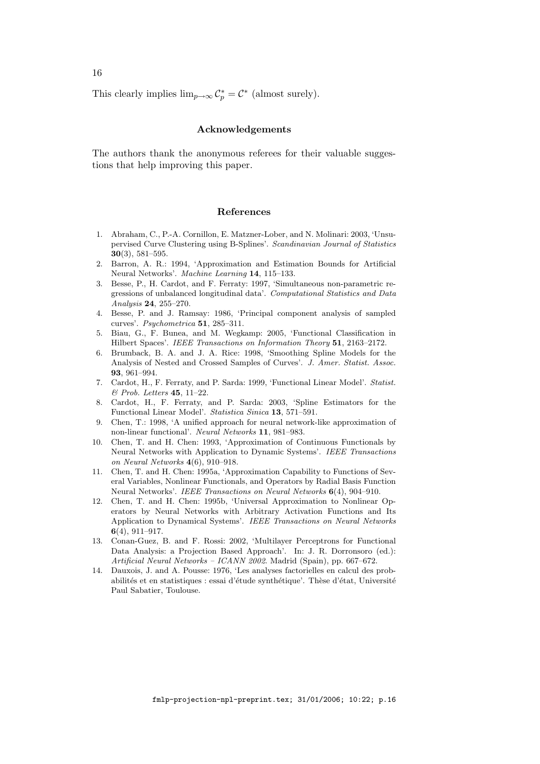This clearly implies  $\lim_{p\to\infty} C_p^* = C^*$  (almost surely).

# Acknowledgements

The authors thank the anonymous referees for their valuable suggestions that help improving this paper.

#### References

- 1. Abraham, C., P.-A. Cornillon, E. Matzner-Lober, and N. Molinari: 2003, 'Unsupervised Curve Clustering using B-Splines'. Scandinavian Journal of Statistics 30(3), 581–595.
- 2. Barron, A. R.: 1994, 'Approximation and Estimation Bounds for Artificial Neural Networks'. Machine Learning 14, 115–133.
- 3. Besse, P., H. Cardot, and F. Ferraty: 1997, 'Simultaneous non-parametric regressions of unbalanced longitudinal data'. Computational Statistics and Data Analysis 24, 255–270.
- 4. Besse, P. and J. Ramsay: 1986, 'Principal component analysis of sampled curves'. Psychometrica 51, 285–311.
- 5. Biau, G., F. Bunea, and M. Wegkamp: 2005, 'Functional Classification in Hilbert Spaces'. IEEE Transactions on Information Theory 51, 2163–2172.
- 6. Brumback, B. A. and J. A. Rice: 1998, 'Smoothing Spline Models for the Analysis of Nested and Crossed Samples of Curves'. J. Amer. Statist. Assoc. 93, 961–994.
- 7. Cardot, H., F. Ferraty, and P. Sarda: 1999, 'Functional Linear Model'. Statist. & Prob. Letters 45, 11–22.
- 8. Cardot, H., F. Ferraty, and P. Sarda: 2003, 'Spline Estimators for the Functional Linear Model'. Statistica Sinica 13, 571–591.
- 9. Chen, T.: 1998, 'A unified approach for neural network-like approximation of non-linear functional'. Neural Networks 11, 981–983.
- 10. Chen, T. and H. Chen: 1993, 'Approximation of Continuous Functionals by Neural Networks with Application to Dynamic Systems'. IEEE Transactions on Neural Networks 4(6), 910–918.
- 11. Chen, T. and H. Chen: 1995a, 'Approximation Capability to Functions of Several Variables, Nonlinear Functionals, and Operators by Radial Basis Function Neural Networks'. IEEE Transactions on Neural Networks 6(4), 904–910.
- 12. Chen, T. and H. Chen: 1995b, 'Universal Approximation to Nonlinear Operators by Neural Networks with Arbitrary Activation Functions and Its Application to Dynamical Systems'. IEEE Transactions on Neural Networks 6(4), 911–917.
- 13. Conan-Guez, B. and F. Rossi: 2002, 'Multilayer Perceptrons for Functional Data Analysis: a Projection Based Approach'. In: J. R. Dorronsoro (ed.): Artificial Neural Networks – ICANN 2002. Madrid (Spain), pp. 667–672.
- 14. Dauxois, J. and A. Pousse: 1976, 'Les analyses factorielles en calcul des probabilités et en statistiques : essai d'étude synthétique'. Thèse d'état, Université Paul Sabatier, Toulouse.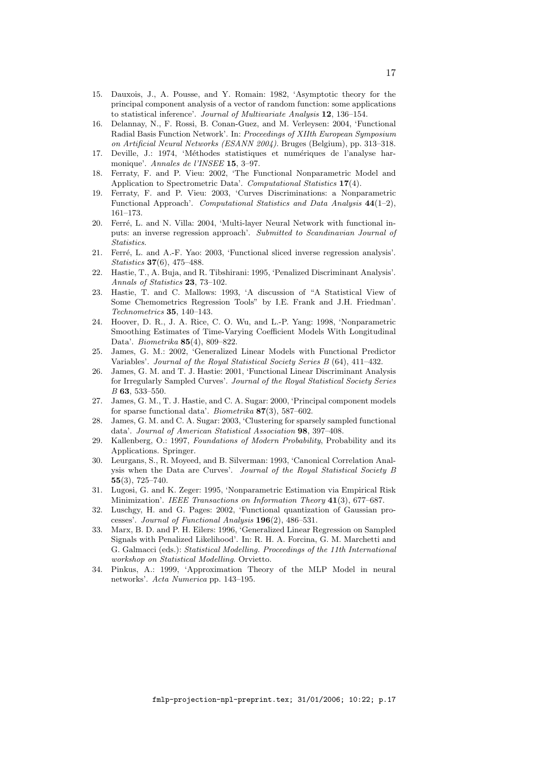- 15. Dauxois, J., A. Pousse, and Y. Romain: 1982, 'Asymptotic theory for the principal component analysis of a vector of random function: some applications to statistical inference'. Journal of Multivariate Analysis 12, 136–154.
- 16. Delannay, N., F. Rossi, B. Conan-Guez, and M. Verleysen: 2004, 'Functional Radial Basis Function Network'. In: Proceedings of XIIth European Symposium on Artificial Neural Networks (ESANN 2004). Bruges (Belgium), pp. 313–318.
- 17. Deville, J.: 1974, 'Méthodes statistiques et numériques de l'analyse harmonique'. Annales de l'INSEE 15, 3–97.
- 18. Ferraty, F. and P. Vieu: 2002, 'The Functional Nonparametric Model and Application to Spectrometric Data'. Computational Statistics 17(4).
- 19. Ferraty, F. and P. Vieu: 2003, 'Curves Discriminations: a Nonparametric Functional Approach'. Computational Statistics and Data Analysis 44(1–2), 161–173.
- 20. Ferré, L. and N. Villa: 2004, 'Multi-layer Neural Network with functional inputs: an inverse regression approach'. Submitted to Scandinavian Journal of **Statistics**
- 21. Ferré, L. and A.-F. Yao: 2003, 'Functional sliced inverse regression analysis'. Statistics 37(6), 475–488.
- 22. Hastie, T., A. Buja, and R. Tibshirani: 1995, 'Penalized Discriminant Analysis'. Annals of Statistics 23, 73–102.
- 23. Hastie, T. and C. Mallows: 1993, 'A discussion of "A Statistical View of Some Chemometrics Regression Tools" by I.E. Frank and J.H. Friedman'. Technometrics 35, 140–143.
- 24. Hoover, D. R., J. A. Rice, C. O. Wu, and L.-P. Yang: 1998, 'Nonparametric Smoothing Estimates of Time-Varying Coefficient Models With Longitudinal Data'. Biometrika 85(4), 809–822.
- 25. James, G. M.: 2002, 'Generalized Linear Models with Functional Predictor Variables'. Journal of the Royal Statistical Society Series B (64), 411–432.
- 26. James, G. M. and T. J. Hastie: 2001, 'Functional Linear Discriminant Analysis for Irregularly Sampled Curves'. Journal of the Royal Statistical Society Series B 63, 533–550.
- 27. James, G. M., T. J. Hastie, and C. A. Sugar: 2000, 'Principal component models for sparse functional data'. Biometrika  $87(3)$ , 587–602.
- 28. James, G. M. and C. A. Sugar: 2003, 'Clustering for sparsely sampled functional data'. Journal of American Statistical Association 98, 397–408.
- 29. Kallenberg, O.: 1997, Foundations of Modern Probability, Probability and its Applications. Springer.
- 30. Leurgans, S., R. Moyeed, and B. Silverman: 1993, 'Canonical Correlation Analysis when the Data are Curves'. Journal of the Royal Statistical Society B 55(3), 725–740.
- 31. Lugosi, G. and K. Zeger: 1995, 'Nonparametric Estimation via Empirical Risk Minimization'. IEEE Transactions on Information Theory 41(3), 677–687.
- 32. Luschgy, H. and G. Pages: 2002, 'Functional quantization of Gaussian processes'. Journal of Functional Analysis 196(2), 486–531.
- 33. Marx, B. D. and P. H. Eilers: 1996, 'Generalized Linear Regression on Sampled Signals with Penalized Likelihood'. In: R. H. A. Forcina, G. M. Marchetti and G. Galmacci (eds.): Statistical Modelling. Proceedings of the 11th International workshop on Statistical Modelling. Orvietto.
- 34. Pinkus, A.: 1999, 'Approximation Theory of the MLP Model in neural networks'. Acta Numerica pp. 143–195.